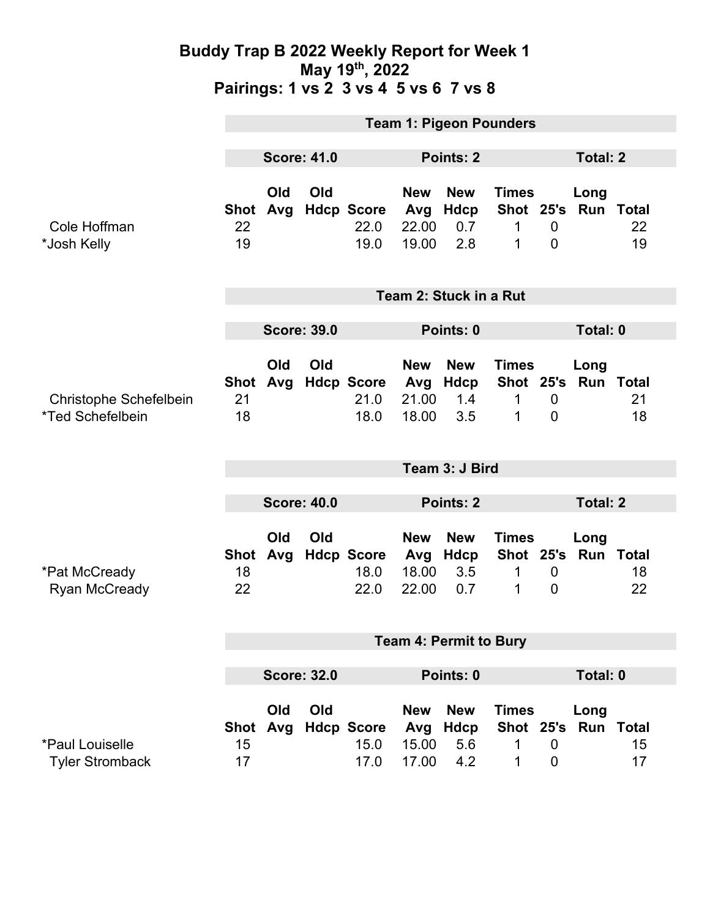### **Buddy Trap B 2022 Weekly Report for Week 1 May 19th, 2022 Pairings: 1 vs 2 3 vs 4 5 vs 6 7 vs 8**

|                                                                 | <b>Team 1: Pigeon Pounders</b>         |            |     |                                   |                                     |                                         |                                               |                               |                   |          |  |  |
|-----------------------------------------------------------------|----------------------------------------|------------|-----|-----------------------------------|-------------------------------------|-----------------------------------------|-----------------------------------------------|-------------------------------|-------------------|----------|--|--|
|                                                                 | <b>Score: 41.0</b>                     |            |     |                                   | Points: 2                           |                                         |                                               |                               | Total: 2          |          |  |  |
| Cole Hoffman<br>*Josh Kelly                                     | <b>Shot</b><br>22<br>19                | Old<br>Avg | Old | <b>Hdcp Score</b><br>22.0<br>19.0 | <b>New</b><br>Avg<br>22.00<br>19.00 | <b>New</b><br>Hdcp<br>0.7<br>2.8        | <b>Times</b><br>Shot 25's<br>1<br>1           | 0<br>$\mathbf 0$              | Long<br>Run Total | 22<br>19 |  |  |
|                                                                 | Team 2: Stuck in a Rut                 |            |     |                                   |                                     |                                         |                                               |                               |                   |          |  |  |
|                                                                 | <b>Score: 39.0</b>                     |            |     |                                   | Points: 0                           |                                         |                                               |                               | Total: 0          |          |  |  |
| <b>Christophe Schefelbein</b><br><i><b>*Ted Schefelbein</b></i> | Shot<br>21<br>18                       | Old<br>Avg | Old | <b>Hdcp Score</b><br>21.0<br>18.0 | <b>New</b><br>Avg<br>21.00<br>18.00 | <b>New</b><br>Hdcp<br>1.4<br>3.5        | <b>Times</b><br>Shot 25's Run Total<br>1<br>1 | $\mathbf 0$<br>$\overline{0}$ | Long              | 21<br>18 |  |  |
|                                                                 | Team 3: J Bird                         |            |     |                                   |                                     |                                         |                                               |                               |                   |          |  |  |
|                                                                 | <b>Score: 40.0</b><br><b>Points: 2</b> |            |     |                                   |                                     |                                         | <b>Total: 2</b>                               |                               |                   |          |  |  |
| *Pat McCready<br><b>Ryan McCready</b>                           | <b>Shot</b><br>18<br>22                | Old<br>Avg | Old | <b>Hdcp Score</b><br>18.0<br>22.0 | <b>New</b><br>Avg<br>18.00<br>22.00 | <b>New</b><br>Hdcp<br>3.5<br>0.7        | <b>Times</b><br>Shot 25's Run Total<br>1<br>1 | $\mathbf 0$<br>$\mathbf 0$    | Long              | 18<br>22 |  |  |
|                                                                 | <b>Team 4: Permit to Bury</b>          |            |     |                                   |                                     |                                         |                                               |                               |                   |          |  |  |
|                                                                 | <b>Score: 32.0</b>                     |            |     | Points: 0                         |                                     |                                         |                                               | Total: 0                      |                   |          |  |  |
| *Paul Louiselle<br><b>Tyler Stromback</b>                       | Shot<br>15<br>17                       | Old<br>Avg | Old | <b>Hdcp Score</b><br>15.0<br>17.0 | <b>New</b><br>Avg<br>15.00<br>17.00 | <b>New</b><br><b>Hdcp</b><br>5.6<br>4.2 | <b>Times</b><br>Shot 25's Run Total<br>1<br>1 | $\mathbf 0$<br>0              | Long              | 15<br>17 |  |  |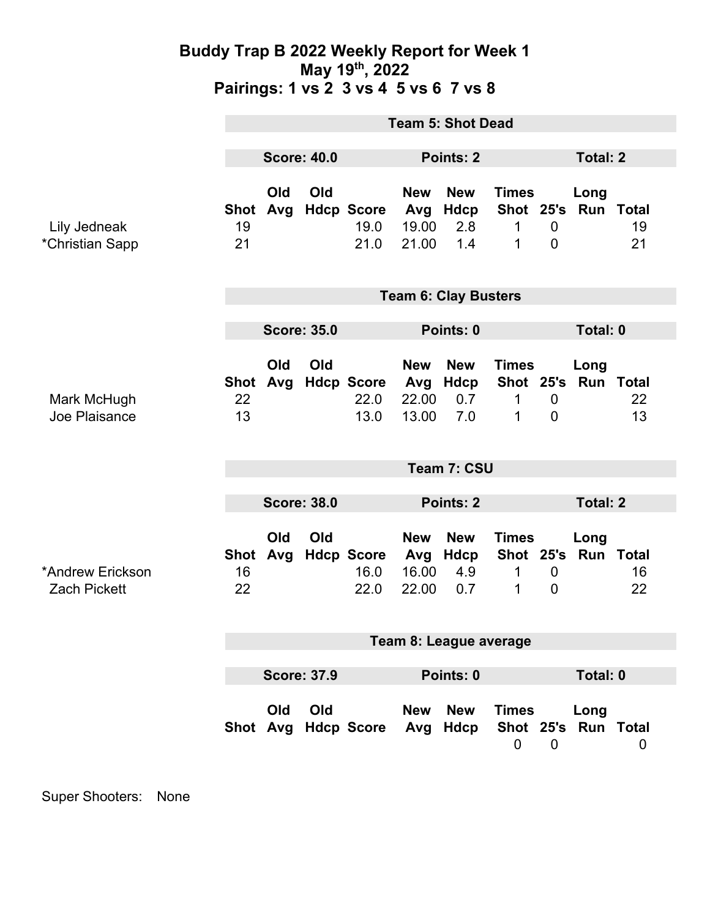### **Buddy Trap B 2022 Weekly Report for Week 1 May 19th, 2022 Pairings: 1 vs 2 3 vs 4 5 vs 6 7 vs 8**

|                                         | <b>Team 5: Shot Dead</b>        |            |     |                                     |                                     |                                  |                                     |                                  |                             |          |
|-----------------------------------------|---------------------------------|------------|-----|-------------------------------------|-------------------------------------|----------------------------------|-------------------------------------|----------------------------------|-----------------------------|----------|
|                                         | <b>Score: 40.0</b>              |            |     | Points: 2                           |                                     |                                  | <b>Total: 2</b>                     |                                  |                             |          |
| Lily Jedneak<br>*Christian Sapp         | 19<br>21                        | Old        | Old | Shot Avg Hdcp Score<br>19.0<br>21.0 | <b>New</b><br>Avg<br>19.00<br>21.00 | <b>New</b><br>Hdcp<br>2.8<br>1.4 | <b>Times</b><br>$\mathbf 1$<br>1    | $\overline{0}$<br>$\overline{0}$ | Long<br>Shot 25's Run Total | 19<br>21 |
|                                         | <b>Team 6: Clay Busters</b>     |            |     |                                     |                                     |                                  |                                     |                                  |                             |          |
|                                         | <b>Score: 35.0</b>              |            |     |                                     | Points: 0                           |                                  |                                     | Total: 0                         |                             |          |
| Mark McHugh<br>Joe Plaisance            | 22<br>13                        | Old        | Old | Shot Avg Hdcp Score<br>22.0<br>13.0 | <b>New</b><br>Avg<br>22.00<br>13.00 | <b>New</b><br>Hdcp<br>0.7<br>7.0 | <b>Times</b><br>Shot 25's<br>1<br>1 | $\mathbf 0$<br>$\overline{0}$    | Long<br>Run Total           | 22<br>13 |
|                                         | Team 7: CSU                     |            |     |                                     |                                     |                                  |                                     |                                  |                             |          |
|                                         | <b>Score: 38.0</b>              |            |     |                                     | <b>Points: 2</b>                    |                                  |                                     | <b>Total: 2</b>                  |                             |          |
| *Andrew Erickson<br><b>Zach Pickett</b> | <b>Shot</b><br>16<br>22         | Old<br>Avg | Old | <b>Hdcp Score</b><br>16.0<br>22.0   | <b>New</b><br>Avg<br>16.00<br>22.00 | <b>New</b><br>Hdcp<br>4.9<br>0.7 | <b>Times</b><br>1<br>1              | $\boldsymbol{0}$<br>$\mathbf 0$  | Long<br>Shot 25's Run Total | 16<br>22 |
|                                         | Team 8: League average          |            |     |                                     |                                     |                                  |                                     |                                  |                             |          |
|                                         | Total: 0                        |            |     |                                     |                                     |                                  |                                     |                                  |                             |          |
|                                         | <b>Score: 37.9</b><br>Points: 0 |            |     |                                     |                                     |                                  |                                     |                                  |                             |          |
|                                         |                                 | Old        | Old | Shot Avg Hdcp Score Avg Hdcp        | <b>New</b>                          | <b>New</b>                       | <b>Times</b><br>$\mathbf 0$         | $\mathbf 0$                      | Long<br>Shot 25's Run Total | 0        |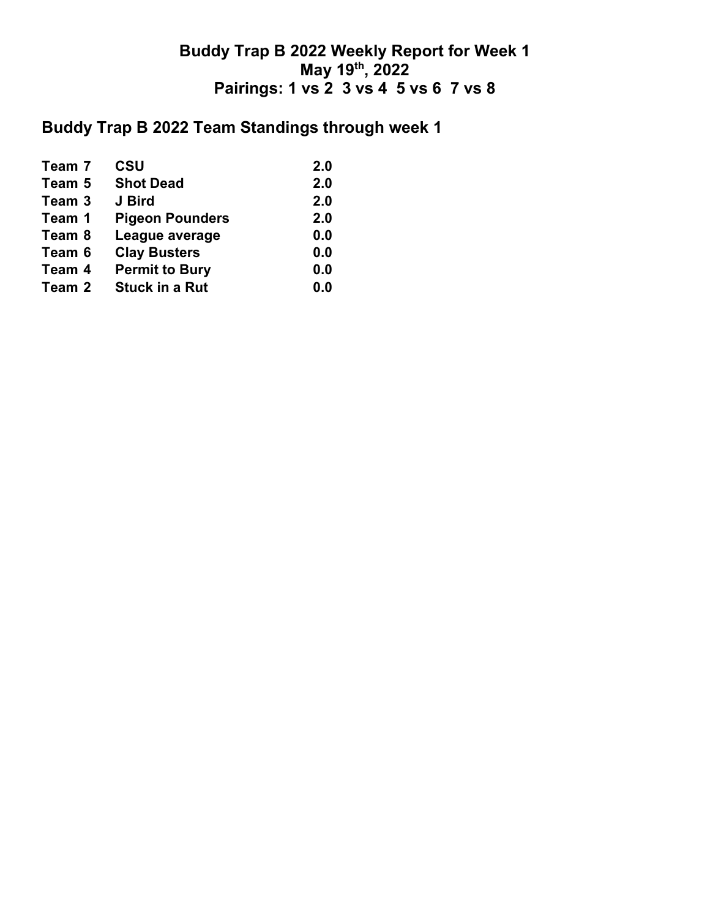## **Buddy Trap B 2022 Weekly Report for Week 1 May 19th, 2022 Pairings: 1 vs 2 3 vs 4 5 vs 6 7 vs 8**

# **Buddy Trap B 2022 Team Standings through week 1**

| Team 7 | <b>CSU</b>             | 2.0 |
|--------|------------------------|-----|
| Team 5 | <b>Shot Dead</b>       | 2.0 |
| Team 3 | J Bird                 | 2.0 |
| Team 1 | <b>Pigeon Pounders</b> | 2.0 |
| Team 8 | League average         | 0.0 |
| Team 6 | <b>Clay Busters</b>    | 0.0 |
| Team 4 | <b>Permit to Bury</b>  | 0.0 |
| Team 2 | <b>Stuck in a Rut</b>  | 0.0 |
|        |                        |     |